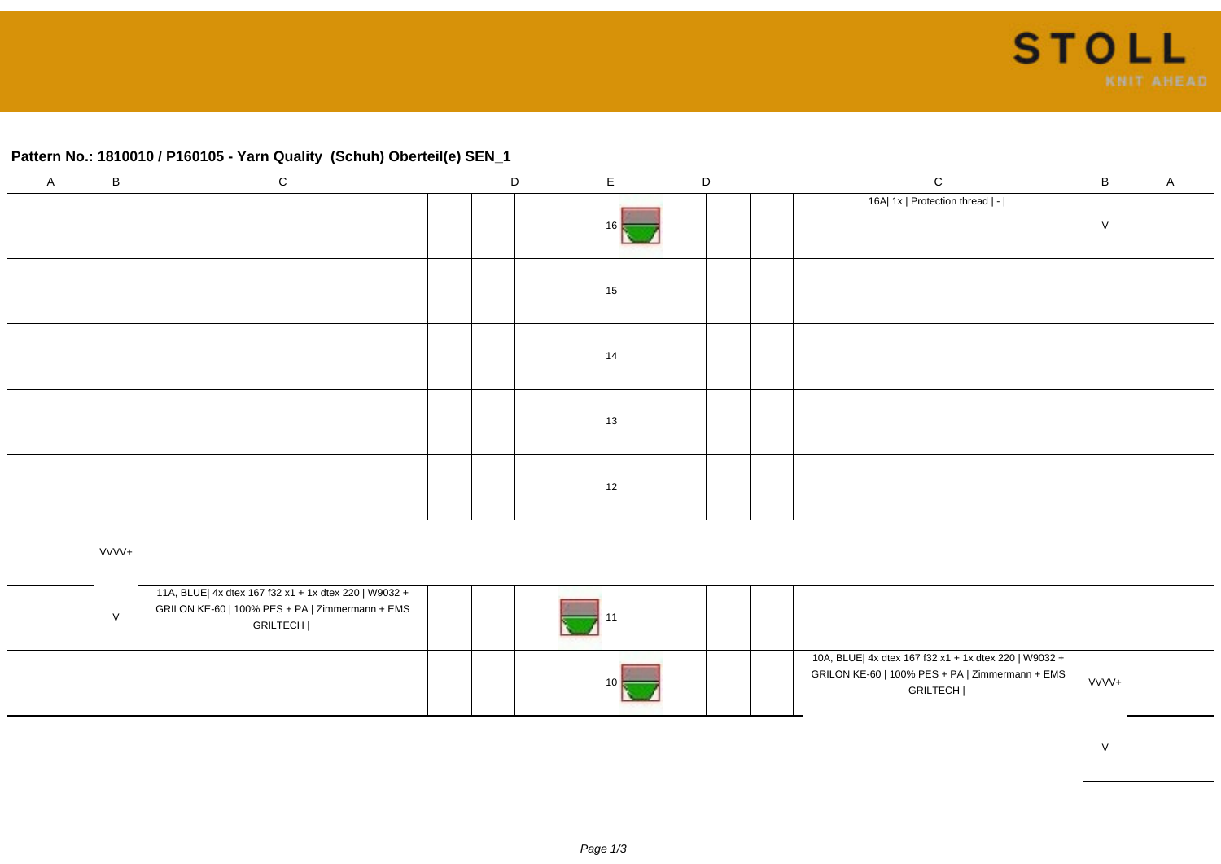## **Pattern No.: 1810010 / P160105 - Yarn Quality (Schuh) Oberteil(e) SEN\_1**

| $\mathsf{A}$ | $\, {\sf B}$ | ${\bf C}$                                                                                                            | $\mathsf D$ | $\mathsf{E}$ | $\mathsf D$ | ${\bf C}$                                                                                                            | $\, {\bf B}$ | $\mathsf{A}$ |
|--------------|--------------|----------------------------------------------------------------------------------------------------------------------|-------------|--------------|-------------|----------------------------------------------------------------------------------------------------------------------|--------------|--------------|
|              |              |                                                                                                                      |             | 16           |             | 16A  1x   Protection thread   -                                                                                      | ${\sf V}$    |              |
|              |              |                                                                                                                      |             | 15           |             |                                                                                                                      |              |              |
|              |              |                                                                                                                      |             | 14           |             |                                                                                                                      |              |              |
|              |              |                                                                                                                      |             | 13           |             |                                                                                                                      |              |              |
|              |              |                                                                                                                      |             | 12           |             |                                                                                                                      |              |              |
|              | VVVV+        |                                                                                                                      |             |              |             |                                                                                                                      |              |              |
|              | $\vee$       | 11A, BLUE  4x dtex 167 f32 x1 + 1x dtex 220   W9032 +<br>GRILON KE-60   100% PES + PA   Zimmermann + EMS<br>GRILTECH |             |              |             |                                                                                                                      |              |              |
|              |              |                                                                                                                      |             |              |             | 10A, BLUE  4x dtex 167 f32 x1 + 1x dtex 220   W9032 +<br>GRILON KE-60   100% PES + PA   Zimmermann + EMS<br>GRILTECH | VVVV+        |              |
|              |              |                                                                                                                      |             |              |             |                                                                                                                      | $\vee$       |              |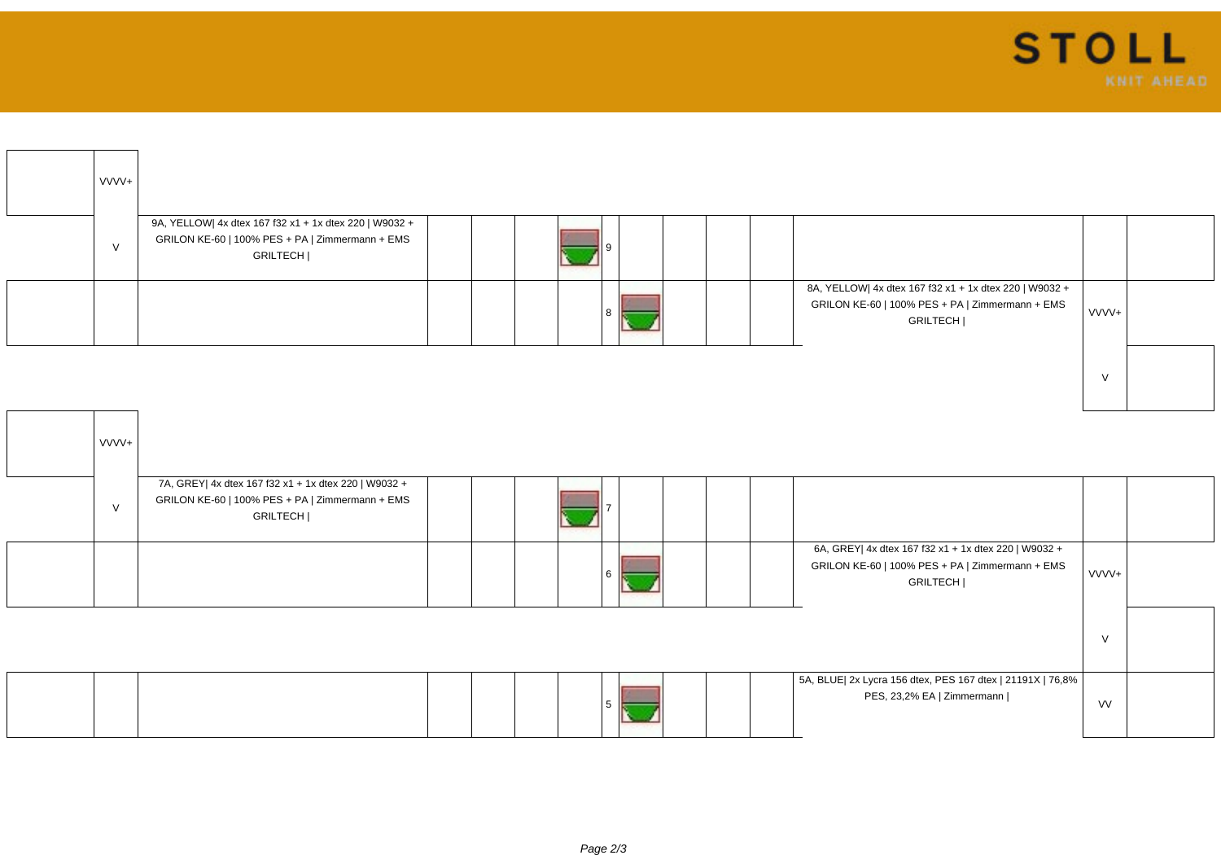| VVVV+  |                                                                                                                       |  |  |                                                                                                                       |        |  |
|--------|-----------------------------------------------------------------------------------------------------------------------|--|--|-----------------------------------------------------------------------------------------------------------------------|--------|--|
| $\vee$ | 9A, YELLOW  4x dtex 167 f32 x1 + 1x dtex 220   W9032 +<br>GRILON KE-60   100% PES + PA   Zimmermann + EMS<br>GRILTECH |  |  |                                                                                                                       |        |  |
|        |                                                                                                                       |  |  | 8A, YELLOW  4x dtex 167 f32 x1 + 1x dtex 220   W9032 +<br>GRILON KE-60   100% PES + PA   Zimmermann + EMS<br>GRILTECH | VVVV+  |  |
|        |                                                                                                                       |  |  |                                                                                                                       | $\vee$ |  |

| VVVV+  |                                                                                                                     |  |  |  |  |                                                                                                                     |           |  |
|--------|---------------------------------------------------------------------------------------------------------------------|--|--|--|--|---------------------------------------------------------------------------------------------------------------------|-----------|--|
| $\vee$ | 7A, GREY  4x dtex 167 f32 x1 + 1x dtex 220   W9032 +<br>GRILON KE-60   100% PES + PA   Zimmermann + EMS<br>GRILTECH |  |  |  |  |                                                                                                                     |           |  |
|        |                                                                                                                     |  |  |  |  | 6A, GREY  4x dtex 167 f32 x1 + 1x dtex 220   W9032 +<br>GRILON KE-60   100% PES + PA   Zimmermann + EMS<br>GRILTECH | VVVV+     |  |
|        |                                                                                                                     |  |  |  |  |                                                                                                                     | $\vee$    |  |
|        |                                                                                                                     |  |  |  |  | 5A, BLUE  2x Lycra 156 dtex, PES 167 dtex   21191X   76,8%<br>PES, 23,2% EA   Zimmermann                            | <b>VV</b> |  |

 $\boldsymbol{\Lambda}$ L.